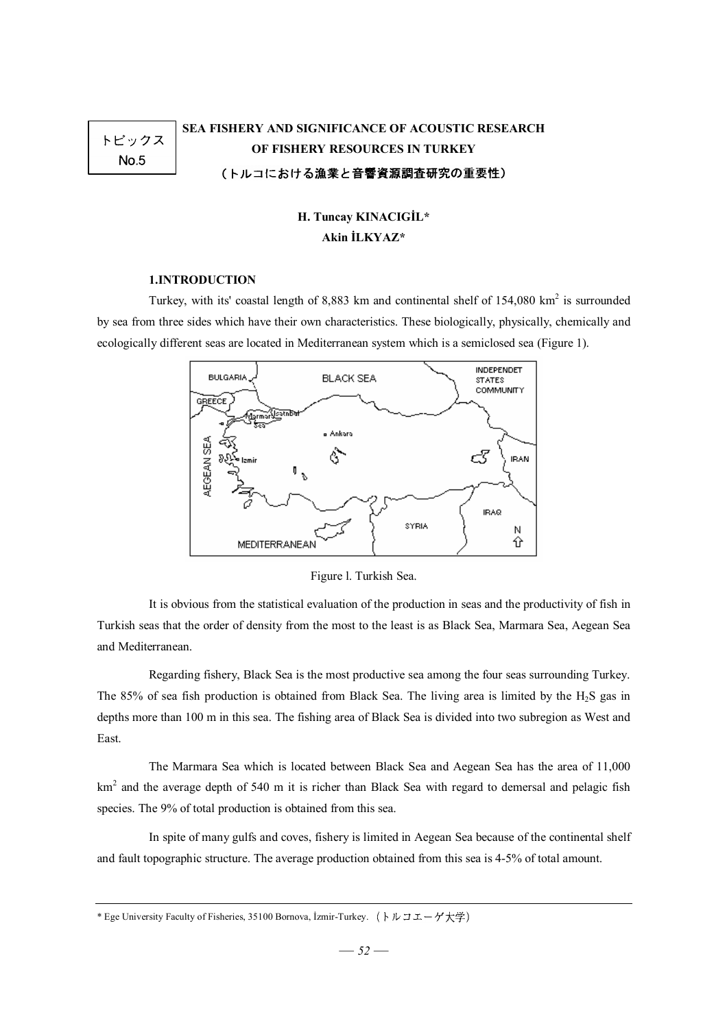# トピックス  $No.5$

# **SEA FISHERY AND SIGNIFICANCE OF ACOUSTIC RESEARCH OF FISHERY RESOURCES IN TURKEY**  (トルコにおける漁業と音響資源調査研究の重要性)

# **H. Tuncay KINACIGİL\* Akin İLKYAZ\***

# **1.INTRODUCTION**

Turkey, with its' coastal length of 8,883 km and continental shelf of  $154,080 \text{ km}^2$  is surrounded by sea from three sides which have their own characteristics. These biologically, physically, chemically and ecologically different seas are located in Mediterranean system which is a semiclosed sea (Figure 1).



# Figure l. Turkish Sea.

It is obvious from the statistical evaluation of the production in seas and the productivity of fish in Turkish seas that the order of density from the most to the least is as Black Sea, Marmara Sea, Aegean Sea and Mediterranean.

Regarding fishery, Black Sea is the most productive sea among the four seas surrounding Turkey. The 85% of sea fish production is obtained from Black Sea. The living area is limited by the H2S gas in depths more than 100 m in this sea. The fishing area of Black Sea is divided into two subregion as West and East.

The Marmara Sea which is located between Black Sea and Aegean Sea has the area of 11,000 km<sup>2</sup> and the average depth of 540 m it is richer than Black Sea with regard to demersal and pelagic fish species. The 9% of total production is obtained from this sea.

In spite of many gulfs and coves, fishery is limited in Aegean Sea because of the continental shelf and fault topographic structure. The average production obtained from this sea is 4-5% of total amount.

<sup>\*</sup> Ege University Faculty of Fisheries, 35100 Bornova, İzmir-Turkey. (トルコエーゲ大学)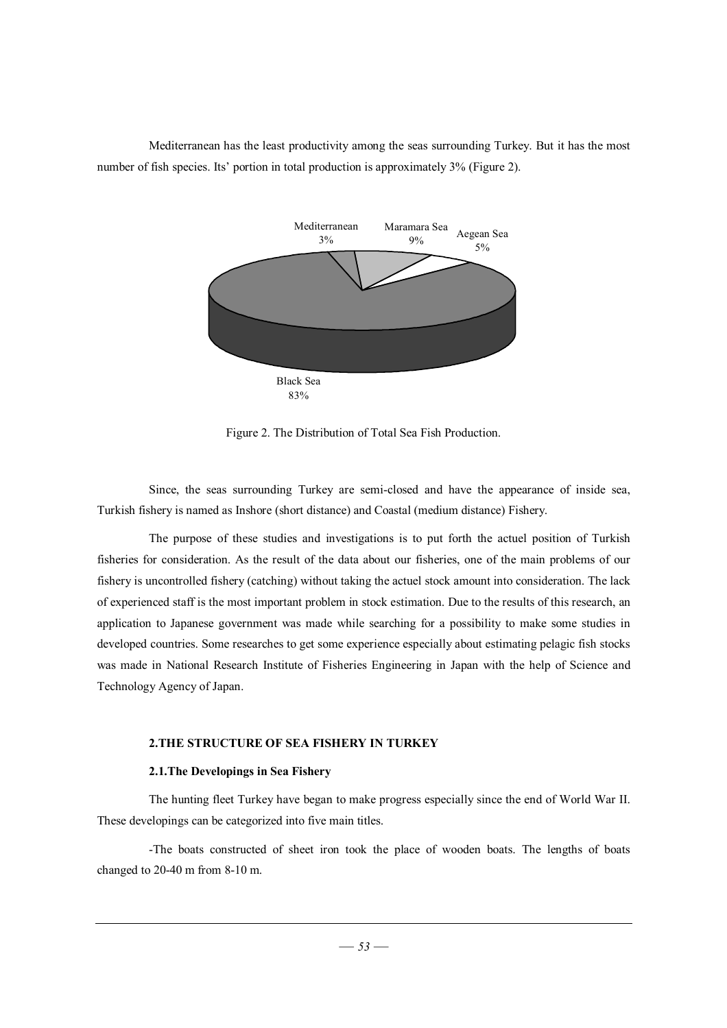Mediterranean has the least productivity among the seas surrounding Turkey. But it has the most number of fish species. Its' portion in total production is approximately 3% (Figure 2).



Figure 2. The Distribution of Total Sea Fish Production.

Since, the seas surrounding Turkey are semi-closed and have the appearance of inside sea, Turkish fishery is named as Inshore (short distance) and Coastal (medium distance) Fishery.

The purpose of these studies and investigations is to put forth the actuel position of Turkish fisheries for consideration. As the result of the data about our fisheries, one of the main problems of our fishery is uncontrolled fishery (catching) without taking the actuel stock amount into consideration. The lack of experienced staff is the most important problem in stock estimation. Due to the results of this research, an application to Japanese government was made while searching for a possibility to make some studies in developed countries. Some researches to get some experience especially about estimating pelagic fish stocks was made in National Research Institute of Fisheries Engineering in Japan with the help of Science and Technology Agency of Japan.

## **2.THE STRUCTURE OF SEA FISHERY IN TURKEY**

#### **2.1.The Developings in Sea Fishery**

The hunting fleet Turkey have began to make progress especially since the end of World War II. These developings can be categorized into five main titles.

-The boats constructed of sheet iron took the place of wooden boats. The lengths of boats changed to 20-40 m from 8-10 m.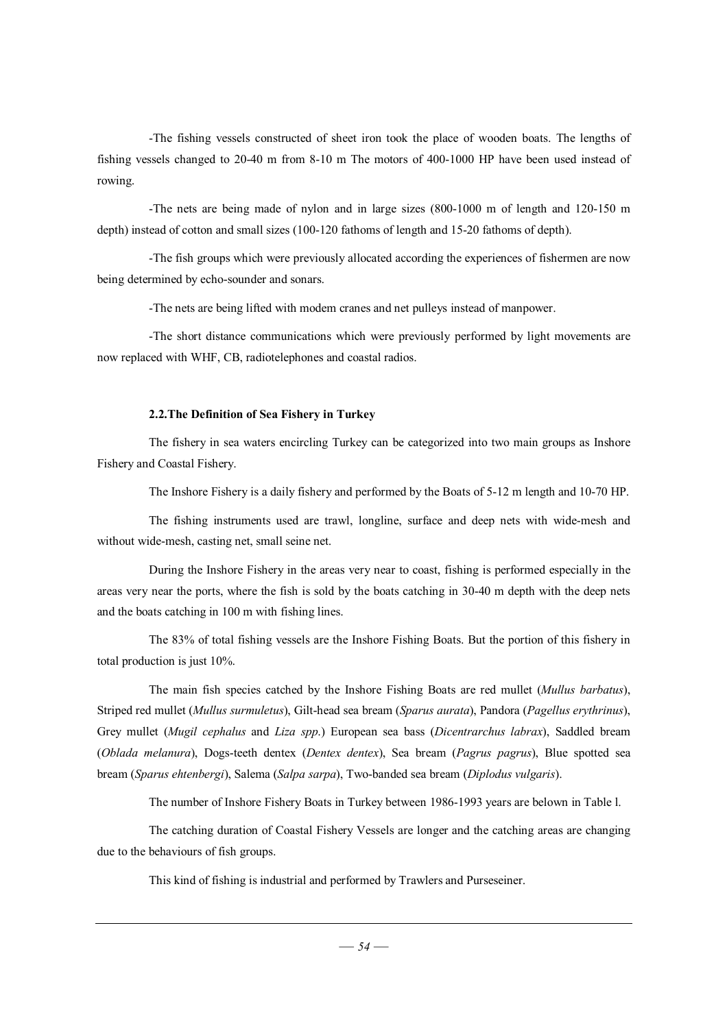-The fishing vessels constructed of sheet iron took the place of wooden boats. The lengths of fishing vessels changed to 20-40 m from 8-10 m The motors of 400-1000 HP have been used instead of rowing.

-The nets are being made of nylon and in large sizes (800-1000 m of length and 120-150 m depth) instead of cotton and small sizes (100-120 fathoms of length and 15-20 fathoms of depth).

-The fish groups which were previously allocated according the experiences of fishermen are now being determined by echo-sounder and sonars.

-The nets are being lifted with modem cranes and net pulleys instead of manpower.

-The short distance communications which were previously performed by light movements are now replaced with WHF, CB, radiotelephones and coastal radios.

#### **2.2.The Definition of Sea Fishery in Turkey**

The fishery in sea waters encircling Turkey can be categorized into two main groups as Inshore Fishery and Coastal Fishery.

The Inshore Fishery is a daily fishery and performed by the Boats of 5-12 m length and 10-70 HP.

The fishing instruments used are trawl, longline, surface and deep nets with wide-mesh and without wide-mesh, casting net, small seine net.

During the Inshore Fishery in the areas very near to coast, fishing is performed especially in the areas very near the ports, where the fish is sold by the boats catching in 30-40 m depth with the deep nets and the boats catching in 100 m with fishing lines.

The 83% of total fishing vessels are the Inshore Fishing Boats. But the portion of this fishery in total production is just 10%.

The main fish species catched by the Inshore Fishing Boats are red mullet (*Mullus barbatus*), Striped red mullet (*Mullus surmuletus*), Gilt-head sea bream (*Sparus aurata*), Pandora (*Pagellus erythrinus*), Grey mullet (*Mugil cephalus* and *Liza spp*.) European sea bass (*Dicentrarchus labrax*), Saddled bream (*Oblada melanura*), Dogs-teeth dentex (*Dentex dentex*), Sea bream (*Pagrus pagrus*), Blue spotted sea bream (*Sparus ehtenbergi*), Salema (*Salpa sarpa*), Two-banded sea bream (*Diplodus vulgaris*).

The number of Inshore Fishery Boats in Turkey between 1986-1993 years are belown in Table l.

The catching duration of Coastal Fishery Vessels are longer and the catching areas are changing due to the behaviours of fish groups.

This kind of fishing is industrial and performed by Trawlers and Purseseiner.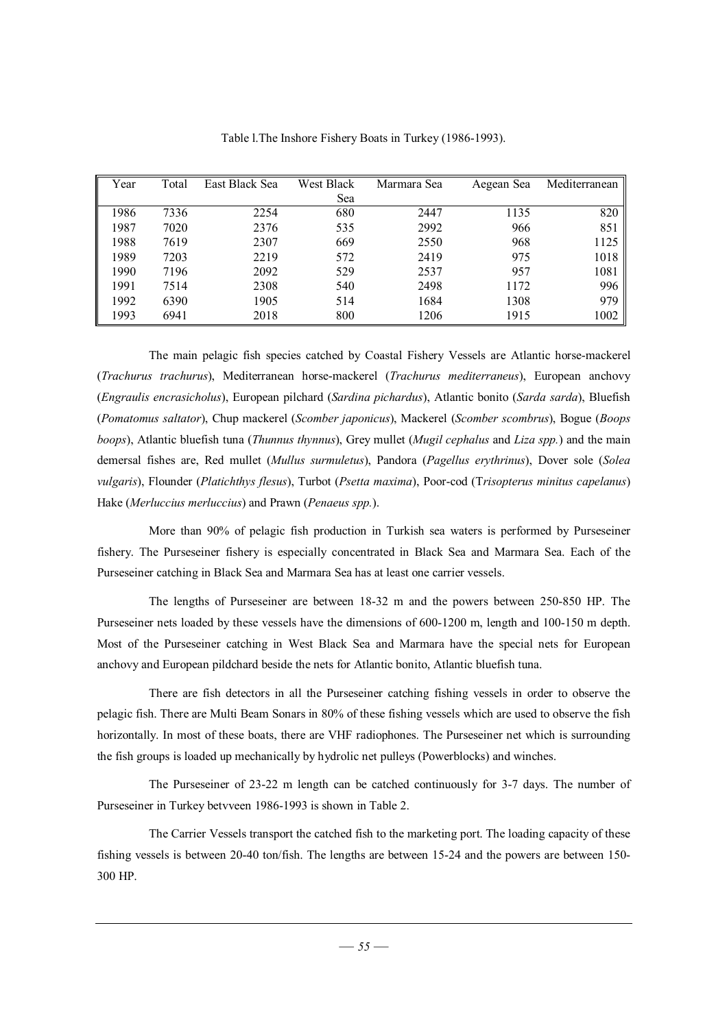| Year | Total | East Black Sea | <b>West Black</b> | Marmara Sea | Aegean Sea | Mediterranean |
|------|-------|----------------|-------------------|-------------|------------|---------------|
|      |       |                | Sea               |             |            |               |
| 1986 | 7336  | 2254           | 680               | 2447        | 1135       | 820           |
| 1987 | 7020  | 2376           | 535               | 2992        | 966        | 851           |
| 1988 | 7619  | 2307           | 669               | 2550        | 968        | 1125          |
| 1989 | 7203  | 2219           | 572               | 2419        | 975        | 1018          |
| 1990 | 7196  | 2092           | 529               | 2537        | 957        | 1081          |
| 1991 | 7514  | 2308           | 540               | 2498        | 1172       | 996           |
| 1992 | 6390  | 1905           | 514               | 1684        | 1308       | 979           |
| 1993 | 6941  | 2018           | 800               | 1206        | 1915       | 1002          |

Table l.The Inshore Fishery Boats in Turkey (1986-1993).

The main pelagic fish species catched by Coastal Fishery Vessels are Atlantic horse-mackerel (*Trachurus trachurus*), Mediterranean horse-mackerel (*Trachurus mediterraneus*), European anchovy (*Engraulis encrasicholus*), European pilchard (*Sardina pichardus*), Atlantic bonito (*Sarda sarda*), Bluefish (*Pomatomus saltator*), Chup mackerel (*Scomber japonicus*), Mackerel (*Scomber scombrus*), Bogue (*Boops boops*), Atlantic bluefish tuna (*Thunnus thynnus*), Grey mullet (*Mugil cephalus* and *Liza spp.*) and the main demersal fishes are, Red mullet (*Mullus surmuletus*), Pandora (*Pagellus erythrinus*), Dover sole (*Solea vulgaris*), Flounder (*Platichthys flesus*), Turbot (*Psetta maxima*), Poor-cod (T*risopterus minitus capelanus*) Hake (*Merluccius merluccius*) and Prawn (*Penaeus spp.*).

More than 90% of pelagic fish production in Turkish sea waters is performed by Purseseiner fishery. The Purseseiner fishery is especially concentrated in Black Sea and Marmara Sea. Each of the Purseseiner catching in Black Sea and Marmara Sea has at least one carrier vessels.

The lengths of Purseseiner are between 18-32 m and the powers between 250-850 HP. The Purseseiner nets loaded by these vessels have the dimensions of 600-1200 m, length and 100-150 m depth. Most of the Purseseiner catching in West Black Sea and Marmara have the special nets for European anchovy and European pildchard beside the nets for Atlantic bonito, Atlantic bluefish tuna.

There are fish detectors in all the Purseseiner catching fishing vessels in order to observe the pelagic fish. There are Multi Beam Sonars in 80% of these fishing vessels which are used to observe the fish horizontally. In most of these boats, there are VHF radiophones. The Purseseiner net which is surrounding the fish groups is loaded up mechanically by hydrolic net pulleys (Powerblocks) and winches.

The Purseseiner of 23-22 m length can be catched continuously for 3-7 days. The number of Purseseiner in Turkey betvveen 1986-1993 is shown in Table 2.

The Carrier Vessels transport the catched fish to the marketing port. The loading capacity of these fishing vessels is between 20-40 ton/fish. The lengths are between 15-24 and the powers are between 150- 300 HP.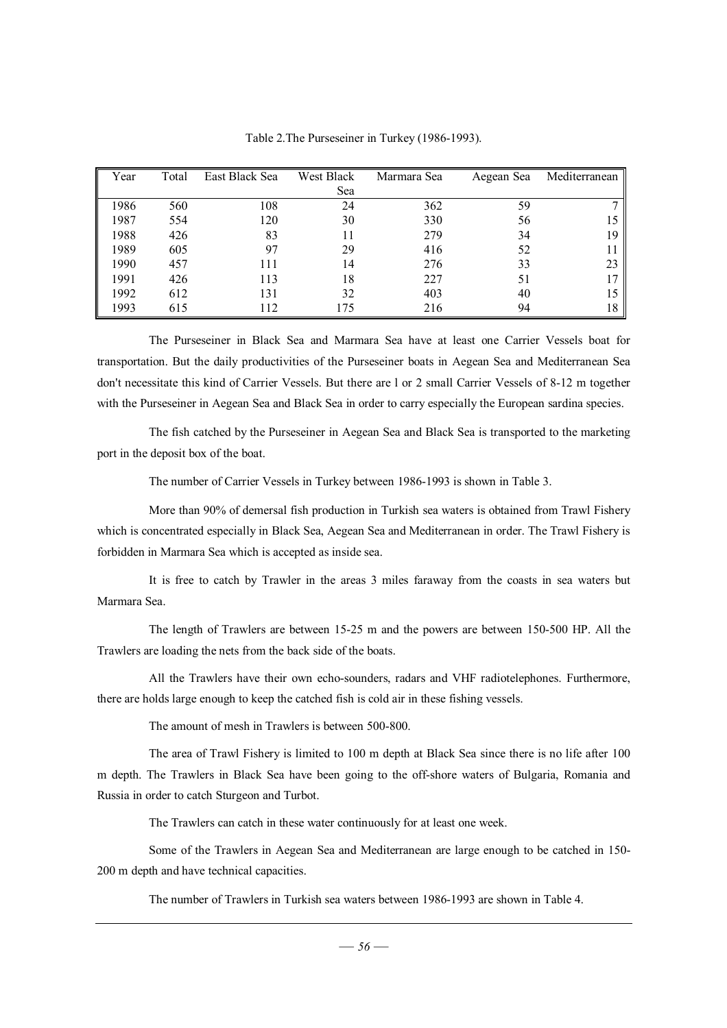| Year | Total | East Black Sea | West Black | Marmara Sea | Aegean Sea | Mediterranean |
|------|-------|----------------|------------|-------------|------------|---------------|
|      |       |                | Sea        |             |            |               |
| 1986 | 560   | 108            | 24         | 362         | 59         |               |
| 1987 | 554   | 120            | 30         | 330         | 56         |               |
| 1988 | 426   | 83             |            | 279         | 34         | 19            |
| 1989 | 605   | 97             | 29         | 416         | 52         |               |
| 1990 | 457   | 111            | 14         | 276         | 33         | 23            |
| 1991 | 426   | 113            | 18         | 227         | 51         |               |
| 1992 | 612   | 131            | 32         | 403         | 40         | 15            |
| 1993 | 615   | 112            | 175        | 216         | 94         | 18            |

Table 2.The Purseseiner in Turkey (1986-1993).

The Purseseiner in Black Sea and Marmara Sea have at least one Carrier Vessels boat for transportation. But the daily productivities of the Purseseiner boats in Aegean Sea and Mediterranean Sea don't necessitate this kind of Carrier Vessels. But there are l or 2 small Carrier Vessels of 8-12 m together with the Purseseiner in Aegean Sea and Black Sea in order to carry especially the European sardina species.

The fish catched by the Purseseiner in Aegean Sea and Black Sea is transported to the marketing port in the deposit box of the boat.

The number of Carrier Vessels in Turkey between 1986-1993 is shown in Table 3.

More than 90% of demersal fish production in Turkish sea waters is obtained from Trawl Fishery which is concentrated especially in Black Sea, Aegean Sea and Mediterranean in order. The Trawl Fishery is forbidden in Marmara Sea which is accepted as inside sea.

It is free to catch by Trawler in the areas 3 miles faraway from the coasts in sea waters but Marmara Sea.

The length of Trawlers are between 15-25 m and the powers are between 150-500 HP. All the Trawlers are loading the nets from the back side of the boats.

All the Trawlers have their own echo-sounders, radars and VHF radiotelephones. Furthermore, there are holds large enough to keep the catched fish is cold air in these fishing vessels.

The amount of mesh in Trawlers is between 500-800.

The area of Trawl Fishery is limited to 100 m depth at Black Sea since there is no life after 100 m depth. The Trawlers in Black Sea have been going to the off-shore waters of Bulgaria, Romania and Russia in order to catch Sturgeon and Turbot.

The Trawlers can catch in these water continuously for at least one week.

Some of the Trawlers in Aegean Sea and Mediterranean are large enough to be catched in 150- 200 m depth and have technical capacities.

The number of Trawlers in Turkish sea waters between 1986-1993 are shown in Table 4.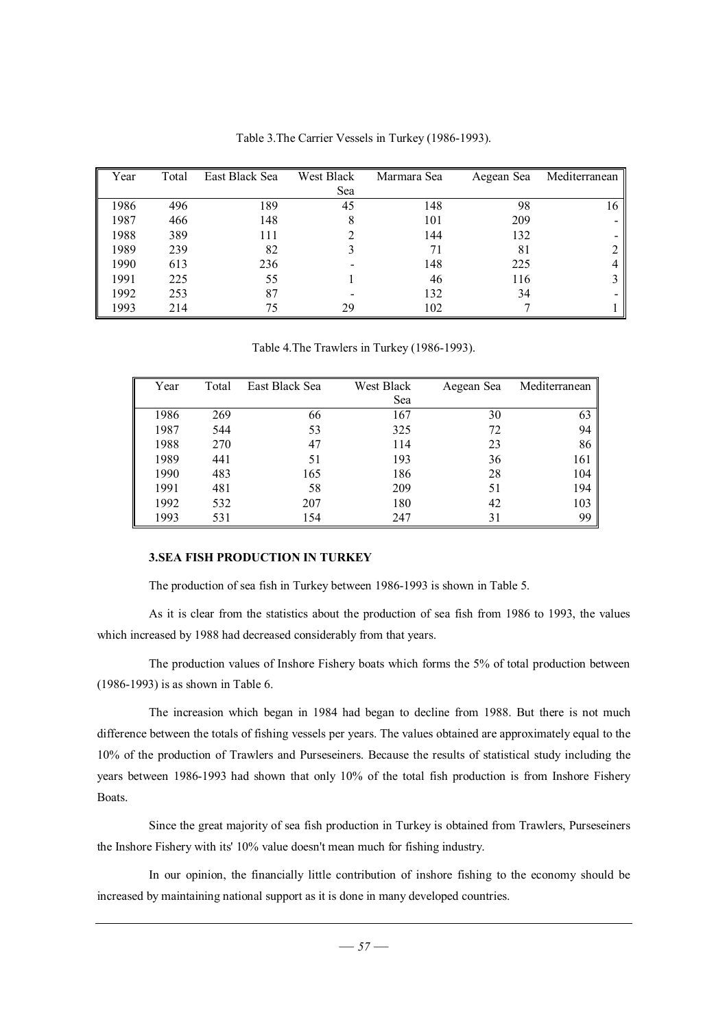| Year | Total | East Black Sea | West Black | Marmara Sea | Aegean Sea | Mediterranean |
|------|-------|----------------|------------|-------------|------------|---------------|
|      |       |                | Sea        |             |            |               |
| 1986 | 496   | 189            | 45         | 148         | 98         | 16            |
| 1987 | 466   | 148            | 8          | 101         | 209        |               |
| 1988 | 389   | 111            |            | 144         | 132        |               |
| 1989 | 239   | 82             |            | 71          | 81         |               |
| 1990 | 613   | 236            |            | 148         | 225        |               |
| 1991 | 225   | 55             |            | 46          | 116        |               |
| 1992 | 253   | 87             |            | 132         | 34         |               |
| 1993 | 214   | 75             | 29         | 102         |            |               |

Table 3.The Carrier Vessels in Turkey (1986-1993).

Table 4.The Trawlers in Turkey (1986-1993).

| Year | Total | East Black Sea | West Black | Aegean Sea | Mediterranean |
|------|-------|----------------|------------|------------|---------------|
|      |       |                | Sea        |            |               |
| 1986 | 269   | 66             | 167        | 30         | 63            |
| 1987 | 544   | 53             | 325        | 72         | 94            |
| 1988 | 270   | 47             | 114        | 23         | 86            |
| 1989 | 441   | 51             | 193        | 36         | 161           |
| 1990 | 483   | 165            | 186        | 28         | 104           |
| 1991 | 481   | 58             | 209        | 51         | 194           |
| 1992 | 532   | 207            | 180        | 42         | 103           |
| 1993 | 531   | 154            | 247        | 31         | 99            |

# **3.SEA FISH PRODUCTION IN TURKEY**

The production of sea fish in Turkey between 1986-1993 is shown in Table 5.

As it is clear from the statistics about the production of sea fish from 1986 to 1993, the values which increased by 1988 had decreased considerably from that years.

The production values of Inshore Fishery boats which forms the 5% of total production between (1986-1993) is as shown in Table 6.

The increasion which began in 1984 had began to decline from 1988. But there is not much difference between the totals of fishing vessels per years. The values obtained are approximately equal to the 10% of the production of Trawlers and Purseseiners. Because the results of statistical study including the years between 1986-1993 had shown that only 10% of the total fish production is from Inshore Fishery Boats.

Since the great majority of sea fish production in Turkey is obtained from Trawlers, Purseseiners the Inshore Fishery with its' 10% value doesn't mean much for fishing industry.

In our opinion, the financially little contribution of inshore fishing to the economy should be increased by maintaining national support as it is done in many developed countries.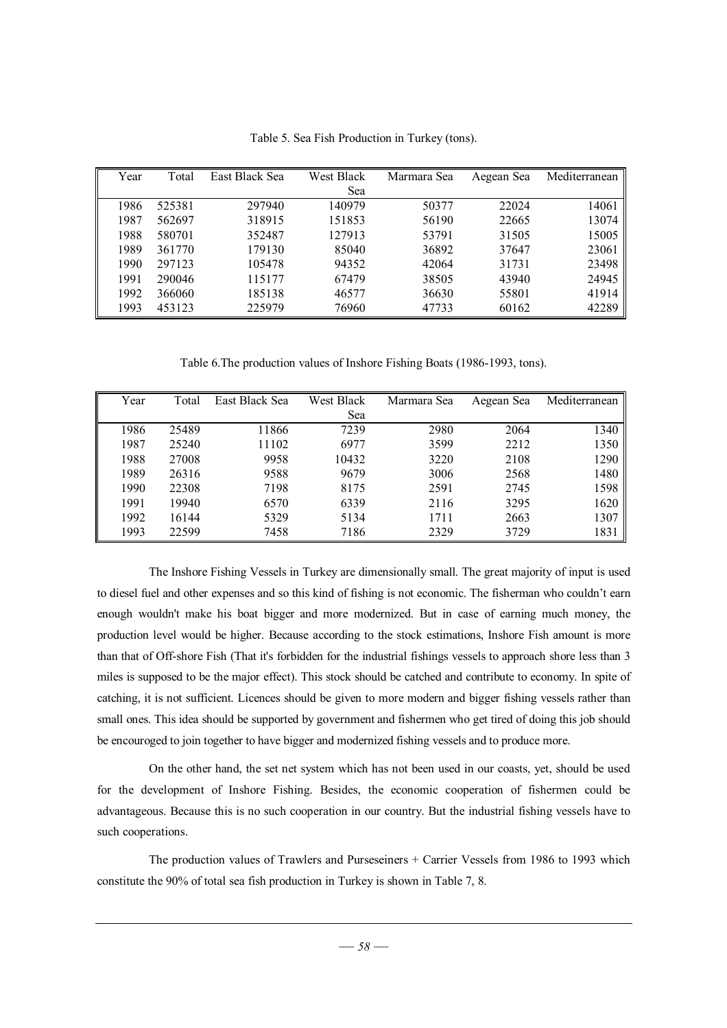| Year | Total  | East Black Sea | West Black | Marmara Sea | Aegean Sea | Mediterranean |
|------|--------|----------------|------------|-------------|------------|---------------|
|      |        |                | Sea        |             |            |               |
| 1986 | 525381 | 297940         | 140979     | 50377       | 22024      | 14061         |
| 1987 | 562697 | 318915         | 151853     | 56190       | 22665      | 13074         |
| 1988 | 580701 | 352487         | 127913     | 53791       | 31505      | 15005         |
| 1989 | 361770 | 179130         | 85040      | 36892       | 37647      | 23061         |
| 1990 | 297123 | 105478         | 94352      | 42064       | 31731      | 23498         |
| 1991 | 290046 | 115177         | 67479      | 38505       | 43940      | 24945         |
| 1992 | 366060 | 185138         | 46577      | 36630       | 55801      | 41914         |
| 1993 | 453123 | 225979         | 76960      | 47733       | 60162      | 42289         |

Table 5. Sea Fish Production in Turkey (tons).

Table 6.The production values of Inshore Fishing Boats (1986-1993, tons).

| Year | Total | East Black Sea | West Black | Marmara Sea | Aegean Sea | Mediterranean |
|------|-------|----------------|------------|-------------|------------|---------------|
|      |       |                | Sea        |             |            |               |
| 1986 | 25489 | 11866          | 7239       | 2980        | 2064       | 1340          |
| 1987 | 25240 | 11102          | 6977       | 3599        | 2212       | 1350          |
| 1988 | 27008 | 9958           | 10432      | 3220        | 2108       | 1290          |
| 1989 | 26316 | 9588           | 9679       | 3006        | 2568       | 1480          |
| 1990 | 22308 | 7198           | 8175       | 2591        | 2745       | 1598          |
| 1991 | 19940 | 6570           | 6339       | 2116        | 3295       | 1620          |
| 1992 | 16144 | 5329           | 5134       | 1711        | 2663       | 1307          |
| 1993 | 22599 | 7458           | 7186       | 2329        | 3729       | 1831          |

The Inshore Fishing Vessels in Turkey are dimensionally small. The great majority of input is used to diesel fuel and other expenses and so this kind of fishing is not economic. The fisherman who couldn't earn enough wouldn't make his boat bigger and more modernized. But in case of earning much money, the production level would be higher. Because according to the stock estimations, Inshore Fish amount is more than that of Off-shore Fish (That it's forbidden for the industrial fishings vessels to approach shore less than 3 miles is supposed to be the major effect). This stock should be catched and contribute to economy. In spite of catching, it is not sufficient. Licences should be given to more modern and bigger fishing vessels rather than small ones. This idea should be supported by government and fishermen who get tired of doing this job should be encouroged to join together to have bigger and modernized fishing vessels and to produce more.

On the other hand, the set net system which has not been used in our coasts, yet, should be used for the development of Inshore Fishing. Besides, the economic cooperation of fishermen could be advantageous. Because this is no such cooperation in our country. But the industrial fishing vessels have to such cooperations.

The production values of Trawlers and Purseseiners + Carrier Vessels from 1986 to 1993 which constitute the 90% of total sea fish production in Turkey is shown in Table 7, 8.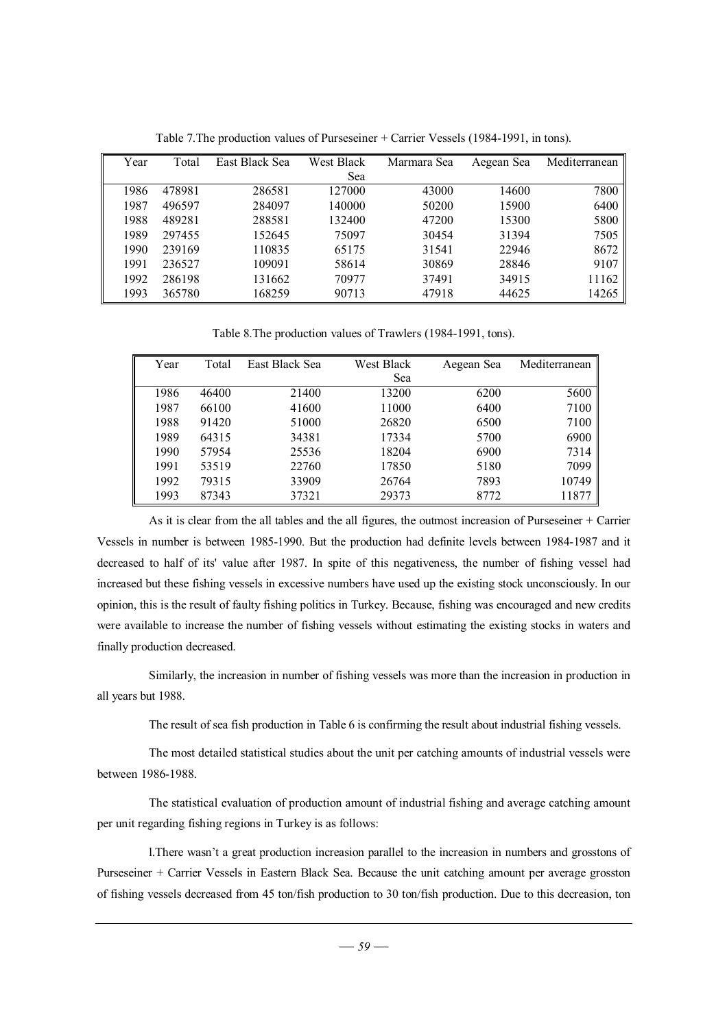| Year | Total  | East Black Sea | West Black | Marmara Sea | Aegean Sea | Mediterranean |
|------|--------|----------------|------------|-------------|------------|---------------|
|      |        |                | Sea        |             |            |               |
| 1986 | 478981 | 286581         | 127000     | 43000       | 14600      | 7800          |
| 1987 | 496597 | 284097         | 140000     | 50200       | 15900      | 6400          |
| 1988 | 489281 | 288581         | 132400     | 47200       | 15300      | 5800          |
| 1989 | 297455 | 152645         | 75097      | 30454       | 31394      | 7505          |
| 1990 | 239169 | 110835         | 65175      | 31541       | 22946      | 8672          |
| 1991 | 236527 | 109091         | 58614      | 30869       | 28846      | 9107          |
| 1992 | 286198 | 131662         | 70977      | 37491       | 34915      | 11162         |
| 1993 | 365780 | 168259         | 90713      | 47918       | 44625      | 14265         |

Table 7.The production values of Purseseiner + Carrier Vessels (1984-1991, in tons).

Table 8.The production values of Trawlers (1984-1991, tons).

| Year | Total | <b>East Black Sea</b> | <b>West Black</b> | Aegean Sea | Mediterranean |
|------|-------|-----------------------|-------------------|------------|---------------|
|      |       |                       | Sea               |            |               |
| 1986 | 46400 | 21400                 | 13200             | 6200       | 5600          |
| 1987 | 66100 | 41600                 | 11000             | 6400       | 7100          |
| 1988 | 91420 | 51000                 | 26820             | 6500       | 7100          |
| 1989 | 64315 | 34381                 | 17334             | 5700       | 6900          |
| 1990 | 57954 | 25536                 | 18204             | 6900       | 7314          |
| 1991 | 53519 | 22760                 | 17850             | 5180       | 7099          |
| 1992 | 79315 | 33909                 | 26764             | 7893       | 10749         |
| 1993 | 87343 | 37321                 | 29373             | 8772       | 11877         |

As it is clear from the all tables and the all figures, the outmost increasion of Purseseiner + Carrier Vessels in number is between 1985-1990. But the production had definite levels between 1984-1987 and it decreased to half of its' value after 1987. In spite of this negativeness, the number of fishing vessel had increased but these fishing vessels in excessive numbers have used up the existing stock unconsciously. In our opinion, this is the result of faulty fishing politics in Turkey. Because, fishing was encouraged and new credits were available to increase the number of fishing vessels without estimating the existing stocks in waters and finally production decreased.

Similarly, the increasion in number of fishing vessels was more than the increasion in production in all years but 1988.

The result of sea fish production in Table 6 is confirming the result about industrial fishing vessels.

The most detailed statistical studies about the unit per catching amounts of industrial vessels were between 1986-1988.

The statistical evaluation of production amount of industrial fishing and average catching amount per unit regarding fishing regions in Turkey is as follows:

l.There wasn't a great production increasion parallel to the increasion in numbers and grosstons of Purseseiner + Carrier Vessels in Eastern Black Sea. Because the unit catching amount per average grosston of fishing vessels decreased from 45 ton/fish production to 30 ton/fish production. Due to this decreasion, ton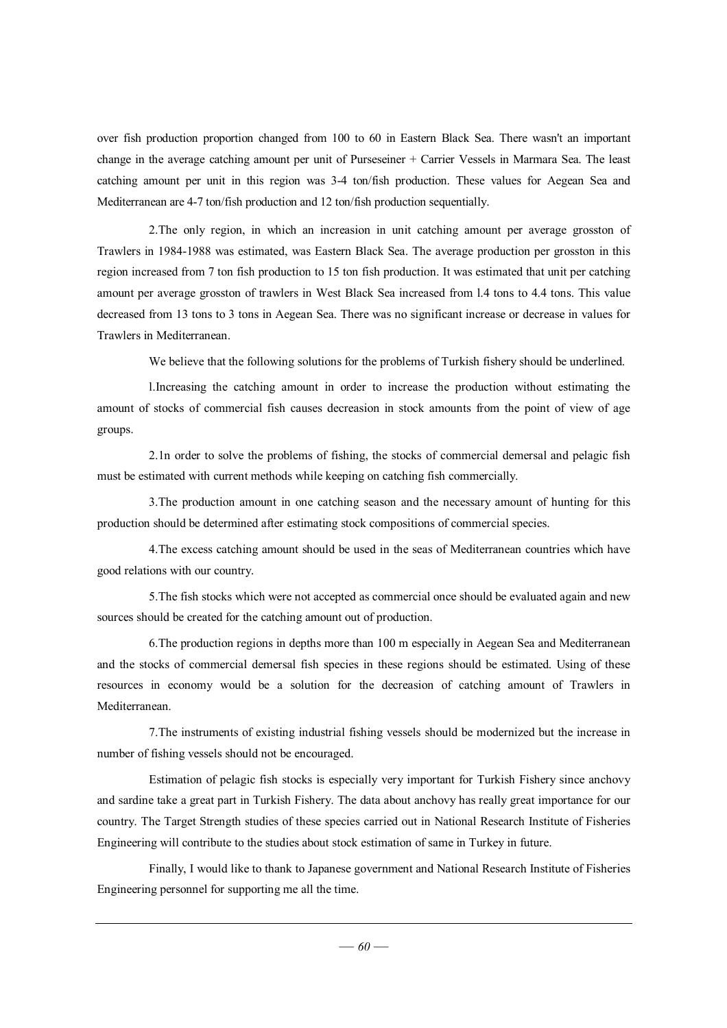over fish production proportion changed from 100 to 60 in Eastern Black Sea. There wasn't an important change in the average catching amount per unit of Purseseiner + Carrier Vessels in Marmara Sea. The least catching amount per unit in this region was 3-4 ton/fish production. These values for Aegean Sea and Mediterranean are 4-7 ton/fish production and 12 ton/fish production sequentially.

2.The only region, in which an increasion in unit catching amount per average grosston of Trawlers in 1984-1988 was estimated, was Eastern Black Sea. The average production per grosston in this region increased from 7 ton fish production to 15 ton fish production. It was estimated that unit per catching amount per average grosston of trawlers in West Black Sea increased from l.4 tons to 4.4 tons. This value decreased from 13 tons to 3 tons in Aegean Sea. There was no significant increase or decrease in values for Trawlers in Mediterranean.

We believe that the following solutions for the problems of Turkish fishery should be underlined.

l.Increasing the catching amount in order to increase the production without estimating the amount of stocks of commercial fish causes decreasion in stock amounts from the point of view of age groups.

2.1n order to solve the problems of fishing, the stocks of commercial demersal and pelagic fish must be estimated with current methods while keeping on catching fish commercially.

3.The production amount in one catching season and the necessary amount of hunting for this production should be determined after estimating stock compositions of commercial species.

4.The excess catching amount should be used in the seas of Mediterranean countries which have good relations with our country.

5.The fish stocks which were not accepted as commercial once should be evaluated again and new sources should be created for the catching amount out of production.

6.The production regions in depths more than 100 m especially in Aegean Sea and Mediterranean and the stocks of commercial demersal fish species in these regions should be estimated. Using of these resources in economy would be a solution for the decreasion of catching amount of Trawlers in Mediterranean.

7.The instruments of existing industrial fishing vessels should be modernized but the increase in number of fishing vessels should not be encouraged.

Estimation of pelagic fish stocks is especially very important for Turkish Fishery since anchovy and sardine take a great part in Turkish Fishery. The data about anchovy has really great importance for our country. The Target Strength studies of these species carried out in National Research Institute of Fisheries Engineering will contribute to the studies about stock estimation of same in Turkey in future.

Finally, I would like to thank to Japanese government and National Research Institute of Fisheries Engineering personnel for supporting me all the time.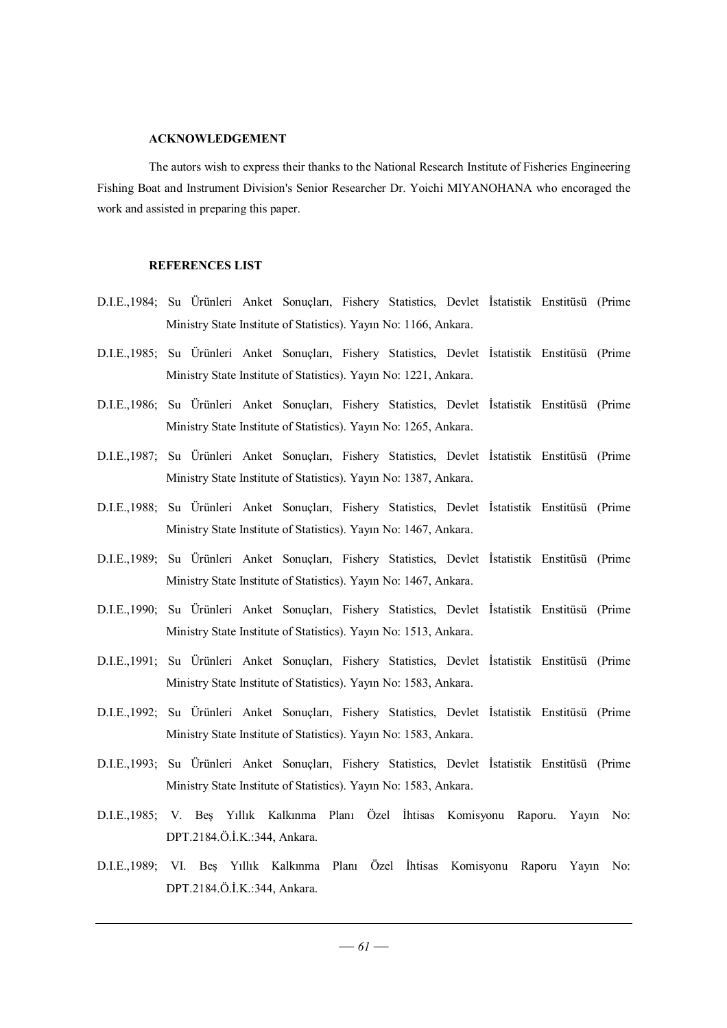#### **ACKNOWLEDGEMENT**

The autors wish to express their thanks to the National Research Institute of Fisheries Engineering Fishing Boat and Instrument Division's Senior Researcher Dr. Yoichi MIYANOHANA who encoraged the work and assisted in preparing this paper.

#### **REFERENCES LIST**

- D.I.E.,1984; Su Ürünleri Anket Sonuçları, Fishery Statistics, Devlet İstatistik Enstitüsü (Prime Ministry State Institute of Statistics). Yayın No: 1166, Ankara.
- D.I.E.,1985; Su Ürünleri Anket Sonuçları, Fishery Statistics, Devlet İstatistik Enstitüsü (Prime Ministry State Institute of Statistics). Yayın No: 1221, Ankara.
- D.I.E.,1986; Su Ürünleri Anket Sonuçları, Fishery Statistics, Devlet İstatistik Enstitüsü (Prime Ministry State Institute of Statistics). Yayın No: 1265, Ankara.
- D.I.E.,1987; Su Ürünleri Anket Sonuçları, Fishery Statistics, Devlet İstatistik Enstitüsü (Prime Ministry State Institute of Statistics). Yayın No: 1387, Ankara.
- D.I.E.,1988; Su Ürünleri Anket Sonuçları, Fishery Statistics, Devlet İstatistik Enstitüsü (Prime Ministry State Institute of Statistics). Yayın No: 1467, Ankara.
- D.I.E.,1989; Su Ürünleri Anket Sonuçları, Fishery Statistics, Devlet İstatistik Enstitüsü (Prime Ministry State Institute of Statistics). Yayın No: 1467, Ankara.
- D.I.E.,1990; Su Ürünleri Anket Sonuçları, Fishery Statistics, Devlet İstatistik Enstitüsü (Prime Ministry State Institute of Statistics). Yayın No: 1513, Ankara.
- D.I.E.,1991; Su Ürünleri Anket Sonuçları, Fishery Statistics, Devlet İstatistik Enstitüsü (Prime Ministry State Institute of Statistics). Yayın No: 1583, Ankara.
- D.I.E.,1992; Su Ürünleri Anket Sonuçları, Fishery Statistics, Devlet İstatistik Enstitüsü (Prime Ministry State Institute of Statistics). Yayın No: 1583, Ankara.
- D.I.E.,1993; Su Ürünleri Anket Sonuçları, Fishery Statistics, Devlet İstatistik Enstitüsü (Prime Ministry State Institute of Statistics). Yayın No: 1583, Ankara.
- D.I.E.,1985; V. Beş Yıllık Kalkınma Planı Özel İhtisas Komisyonu Raporu. Yayın No: DPT.2184.Ö.İ.K.:344, Ankara.
- D.I.E.,1989; VI. Beş Yıllık Kalkınma Planı Özel İhtisas Komisyonu Raporu Yayın No: DPT.2184.Ö.İ.K.:344, Ankara.